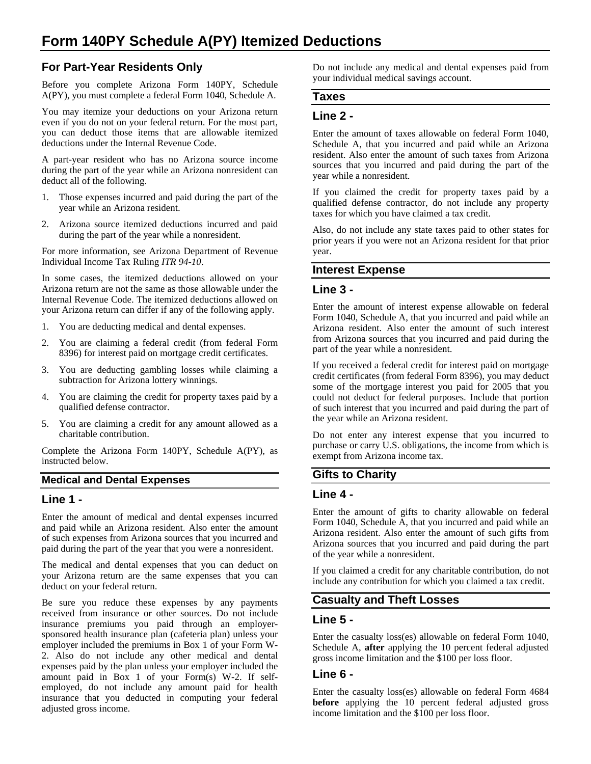# **For Part-Year Residents Only**

Before you complete Arizona Form 140PY, Schedule A(PY), you must complete a federal Form 1040, Schedule A.

You may itemize your deductions on your Arizona return even if you do not on your federal return. For the most part, you can deduct those items that are allowable itemized deductions under the Internal Revenue Code.

A part-year resident who has no Arizona source income during the part of the year while an Arizona nonresident can deduct all of the following.

- 1. Those expenses incurred and paid during the part of the year while an Arizona resident.
- 2. Arizona source itemized deductions incurred and paid during the part of the year while a nonresident.

For more information, see Arizona Department of Revenue Individual Income Tax Ruling *ITR 94-10*.

In some cases, the itemized deductions allowed on your Arizona return are not the same as those allowable under the Internal Revenue Code. The itemized deductions allowed on your Arizona return can differ if any of the following apply.

- 1. You are deducting medical and dental expenses.
- 2. You are claiming a federal credit (from federal Form 8396) for interest paid on mortgage credit certificates.
- 3. You are deducting gambling losses while claiming a subtraction for Arizona lottery winnings.
- 4. You are claiming the credit for property taxes paid by a qualified defense contractor.
- 5. You are claiming a credit for any amount allowed as a charitable contribution.

Complete the Arizona Form 140PY, Schedule A(PY), as instructed below.

### **Medical and Dental Expenses**

### **Line 1 -**

Enter the amount of medical and dental expenses incurred and paid while an Arizona resident. Also enter the amount of such expenses from Arizona sources that you incurred and paid during the part of the year that you were a nonresident.

The medical and dental expenses that you can deduct on your Arizona return are the same expenses that you can deduct on your federal return.

Be sure you reduce these expenses by any payments received from insurance or other sources. Do not include insurance premiums you paid through an employersponsored health insurance plan (cafeteria plan) unless your employer included the premiums in Box 1 of your Form W-2. Also do not include any other medical and dental expenses paid by the plan unless your employer included the amount paid in Box 1 of your Form(s) W-2. If selfemployed, do not include any amount paid for health insurance that you deducted in computing your federal adjusted gross income.

Do not include any medical and dental expenses paid from your individual medical savings account.

#### **Taxes**

### **Line 2 -**

Enter the amount of taxes allowable on federal Form 1040, Schedule A, that you incurred and paid while an Arizona resident. Also enter the amount of such taxes from Arizona sources that you incurred and paid during the part of the year while a nonresident.

If you claimed the credit for property taxes paid by a qualified defense contractor, do not include any property taxes for which you have claimed a tax credit.

Also, do not include any state taxes paid to other states for prior years if you were not an Arizona resident for that prior year.

#### **Interest Expense**

#### **Line 3 -**

Enter the amount of interest expense allowable on federal Form 1040, Schedule A, that you incurred and paid while an Arizona resident. Also enter the amount of such interest from Arizona sources that you incurred and paid during the part of the year while a nonresident.

If you received a federal credit for interest paid on mortgage credit certificates (from federal Form 8396), you may deduct some of the mortgage interest you paid for 2005 that you could not deduct for federal purposes. Include that portion of such interest that you incurred and paid during the part of the year while an Arizona resident.

Do not enter any interest expense that you incurred to purchase or carry U.S. obligations, the income from which is exempt from Arizona income tax.

### **Gifts to Charity**

#### **Line 4 -**

Enter the amount of gifts to charity allowable on federal Form 1040, Schedule A, that you incurred and paid while an Arizona resident. Also enter the amount of such gifts from Arizona sources that you incurred and paid during the part of the year while a nonresident.

If you claimed a credit for any charitable contribution, do not include any contribution for which you claimed a tax credit.

# **Casualty and Theft Losses**

### **Line 5 -**

Enter the casualty loss(es) allowable on federal Form 1040, Schedule A, **after** applying the 10 percent federal adjusted gross income limitation and the \$100 per loss floor.

### **Line 6 -**

Enter the casualty loss(es) allowable on federal Form 4684 **before** applying the 10 percent federal adjusted gross income limitation and the \$100 per loss floor.